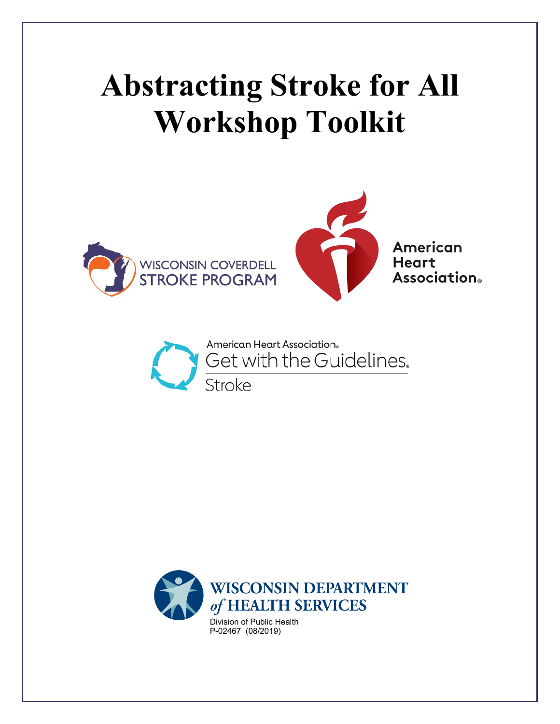# **Abstracting Stroke for All Workshop Toolkit**





**American Heart Association**®



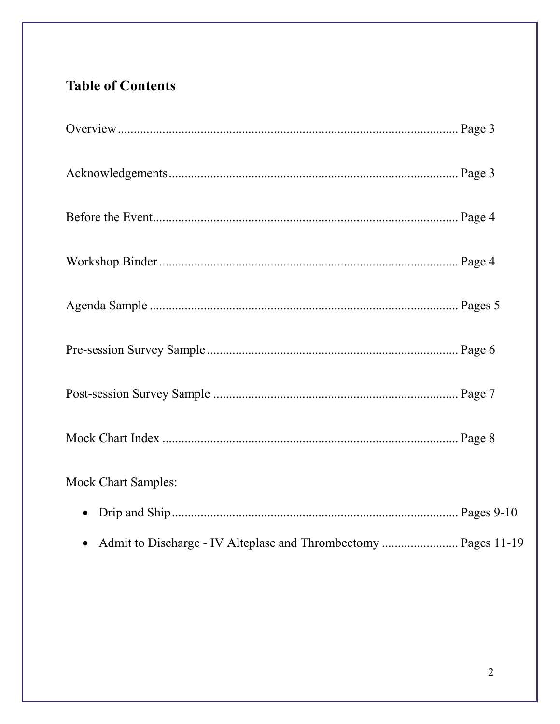# **Table of Contents**

| <b>Mock Chart Samples:</b>                                        |  |
|-------------------------------------------------------------------|--|
| $\bullet$                                                         |  |
| • Admit to Discharge - IV Alteplase and Thrombectomy  Pages 11-19 |  |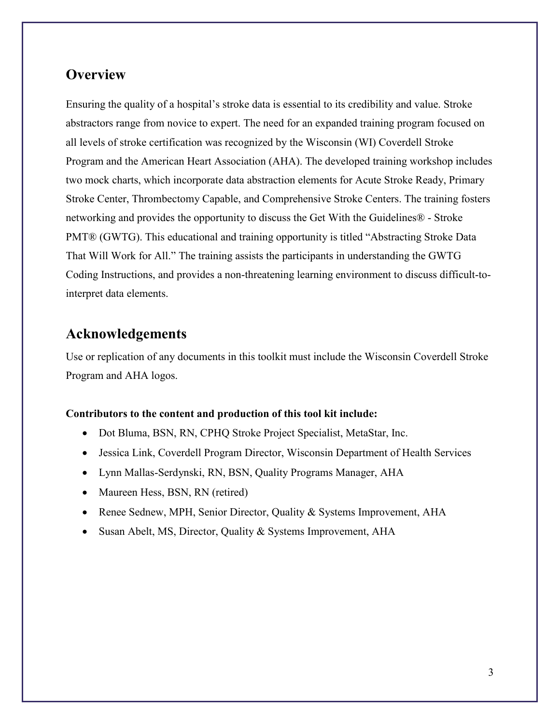## **Overview**

Ensuring the quality of a hospital's stroke data is essential to its credibility and value. Stroke abstractors range from novice to expert. The need for an expanded training program focused on all levels of stroke certification was recognized by the Wisconsin (WI) Coverdell Stroke Program and the American Heart Association (AHA). The developed training workshop includes two mock charts, which incorporate data abstraction elements for Acute Stroke Ready, Primary Stroke Center, Thrombectomy Capable, and Comprehensive Stroke Centers. The training fosters networking and provides the opportunity to discuss the Get With the Guidelines® - Stroke PMT® (GWTG). This educational and training opportunity is titled "Abstracting Stroke Data That Will Work for All." The training assists the participants in understanding the GWTG Coding Instructions, and provides a non-threatening learning environment to discuss difficult-tointerpret data elements.

#### **Acknowledgements**

Use or replication of any documents in this toolkit must include the Wisconsin Coverdell Stroke Program and AHA logos.

#### **Contributors to the content and production of this tool kit include:**

- Dot Bluma, BSN, RN, CPHQ Stroke Project Specialist, MetaStar, Inc.
- Jessica Link, Coverdell Program Director, Wisconsin Department of Health Services
- Lynn Mallas-Serdynski, RN, BSN, Quality Programs Manager, AHA
- Maureen Hess, BSN, RN (retired)
- Renee Sednew, MPH, Senior Director, Quality & Systems Improvement, AHA
- Susan Abelt, MS, Director, Quality & Systems Improvement, AHA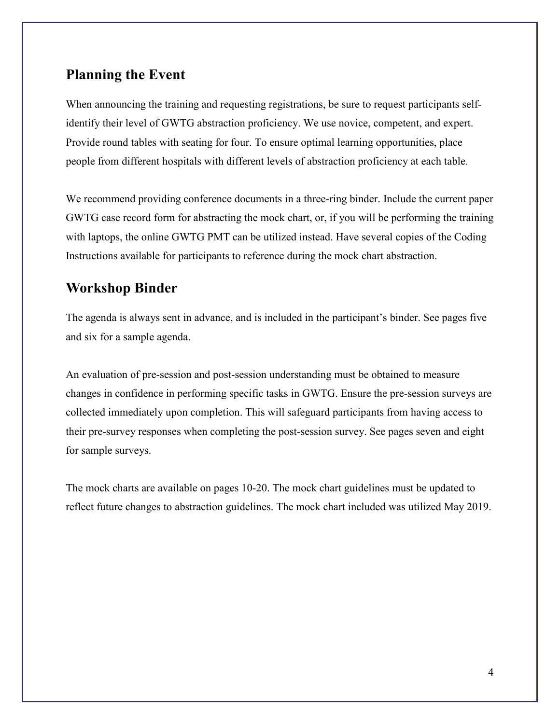### **Planning the Event**

When announcing the training and requesting registrations, be sure to request participants selfidentify their level of GWTG abstraction proficiency. We use novice, competent, and expert. Provide round tables with seating for four. To ensure optimal learning opportunities, place people from different hospitals with different levels of abstraction proficiency at each table.

We recommend providing conference documents in a three-ring binder. Include the current paper GWTG case record form for abstracting the mock chart, or, if you will be performing the training with laptops, the online GWTG PMT can be utilized instead. Have several copies of the Coding Instructions available for participants to reference during the mock chart abstraction.

## **Workshop Binder**

The agenda is always sent in advance, and is included in the participant's binder. See pages five and six for a sample agenda.

An evaluation of pre-session and post-session understanding must be obtained to measure changes in confidence in performing specific tasks in GWTG. Ensure the pre-session surveys are collected immediately upon completion. This will safeguard participants from having access to their pre-survey responses when completing the post-session survey. See pages seven and eight for sample surveys.

The mock charts are available on pages 10-20. The mock chart guidelines must be updated to reflect future changes to abstraction guidelines. The mock chart included was utilized May 2019.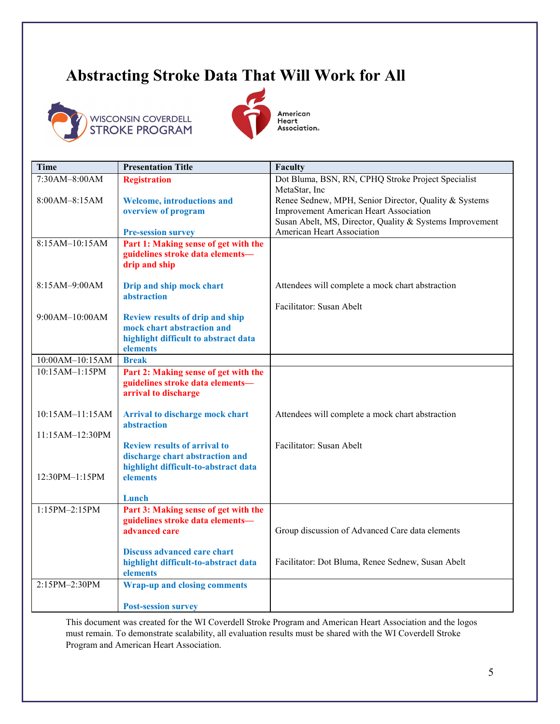# **Abstracting Stroke Data That Will Work for All**





American Hildredit<br>Heart<br>Association。

| <b>Time</b>       | <b>Presentation Title</b>                                                  | Faculty                                                                                                |
|-------------------|----------------------------------------------------------------------------|--------------------------------------------------------------------------------------------------------|
| 7:30AM-8:00AM     | <b>Registration</b>                                                        | Dot Bluma, BSN, RN, CPHQ Stroke Project Specialist                                                     |
|                   |                                                                            | MetaStar, Inc                                                                                          |
| 8:00AM-8:15AM     | <b>Welcome, introductions and</b><br>overview of program                   | Renee Sednew, MPH, Senior Director, Quality & Systems<br><b>Improvement American Heart Association</b> |
|                   |                                                                            | Susan Abelt, MS, Director, Quality & Systems Improvement                                               |
|                   | <b>Pre-session survey</b>                                                  | American Heart Association                                                                             |
| 8:15AM-10:15AM    | Part 1: Making sense of get with the                                       |                                                                                                        |
|                   | guidelines stroke data elements-                                           |                                                                                                        |
|                   | drip and ship                                                              |                                                                                                        |
| 8:15AM-9:00AM     | Drip and ship mock chart                                                   | Attendees will complete a mock chart abstraction                                                       |
|                   | abstraction                                                                |                                                                                                        |
|                   |                                                                            | Facilitator: Susan Abelt                                                                               |
| $9:00AM-10:00AM$  | <b>Review results of drip and ship</b>                                     |                                                                                                        |
|                   | mock chart abstraction and                                                 |                                                                                                        |
|                   | highlight difficult to abstract data<br>elements                           |                                                                                                        |
| 10:00AM-10:15AM   | <b>Break</b>                                                               |                                                                                                        |
| 10:15AM-1:15PM    | Part 2: Making sense of get with the                                       |                                                                                                        |
|                   | guidelines stroke data elements-                                           |                                                                                                        |
|                   | arrival to discharge                                                       |                                                                                                        |
|                   |                                                                            |                                                                                                        |
| $10:15AM-11:15AM$ | Arrival to discharge mock chart<br>abstraction                             | Attendees will complete a mock chart abstraction                                                       |
| 11:15AM-12:30PM   |                                                                            |                                                                                                        |
|                   | <b>Review results of arrival to</b>                                        | Facilitator: Susan Abelt                                                                               |
|                   | discharge chart abstraction and                                            |                                                                                                        |
|                   | highlight difficult-to-abstract data                                       |                                                                                                        |
| 12:30PM-1:15PM    | elements                                                                   |                                                                                                        |
|                   | Lunch                                                                      |                                                                                                        |
| 1:15PM-2:15PM     | Part 3: Making sense of get with the                                       |                                                                                                        |
|                   | guidelines stroke data elements-                                           |                                                                                                        |
|                   | advanced care                                                              | Group discussion of Advanced Care data elements                                                        |
|                   |                                                                            |                                                                                                        |
|                   | <b>Discuss advanced care chart</b><br>highlight difficult-to-abstract data | Facilitator: Dot Bluma, Renee Sednew, Susan Abelt                                                      |
|                   | elements                                                                   |                                                                                                        |
| 2:15PM-2:30PM     | <b>Wrap-up and closing comments</b>                                        |                                                                                                        |
|                   |                                                                            |                                                                                                        |
|                   | <b>Post-session survey</b>                                                 |                                                                                                        |

This document was created for the WI Coverdell Stroke Program and American Heart Association and the logos must remain. To demonstrate scalability, all evaluation results must be shared with the WI Coverdell Stroke Program and American Heart Association.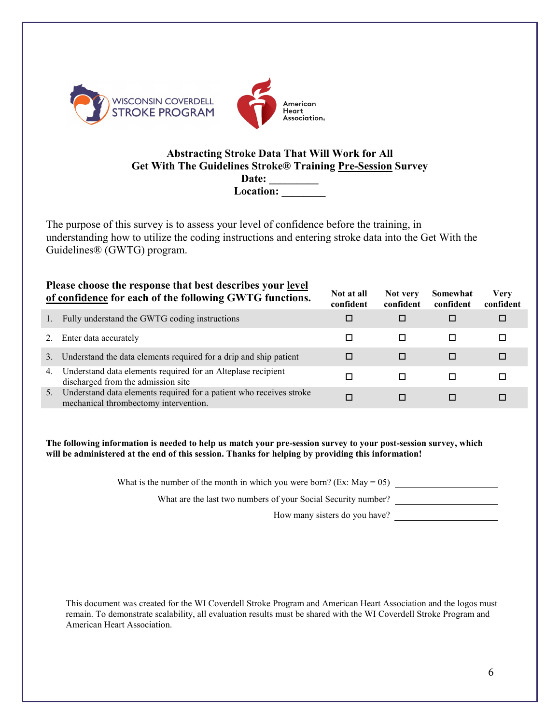

#### **Abstracting Stroke Data That Will Work for All Get With The Guidelines Stroke® Training Pre-Session Survey**

Date: \_\_\_\_\_\_\_\_\_\_ **Location: \_\_\_\_\_\_\_\_** 

The purpose of this survey is to assess your level of confidence before the training, in understanding how to utilize the coding instructions and entering stroke data into the Get With the Guidelines® (GWTG) program.

|    | Please choose the response that best describes your <u>level</u><br>of confidence for each of the following GWTG functions. | Not at all<br>confident | Not very<br>confident | Somewhat<br>confident | Verv<br>confident |
|----|-----------------------------------------------------------------------------------------------------------------------------|-------------------------|-----------------------|-----------------------|-------------------|
|    | Fully understand the GWTG coding instructions                                                                               |                         | □                     |                       |                   |
|    | Enter data accurately                                                                                                       |                         | □                     | п                     |                   |
| 3. | Understand the data elements required for a drip and ship patient                                                           |                         | □                     | П                     |                   |
| 4. | Understand data elements required for an Alteplase recipient<br>discharged from the admission site                          |                         | п                     |                       |                   |
| 5. | Understand data elements required for a patient who receives stroke<br>mechanical thrombectomy intervention.                |                         |                       |                       |                   |

**The following information is needed to help us match your pre-session survey to your post-session survey, which will be administered at the end of this session. Thanks for helping by providing this information!**

What is the number of the month in which you were born? (Ex: May = 05)

What are the last two numbers of your Social Security number?

How many sisters do you have?

This document was created for the WI Coverdell Stroke Program and American Heart Association and the logos must remain. To demonstrate scalability, all evaluation results must be shared with the WI Coverdell Stroke Program and American Heart Association.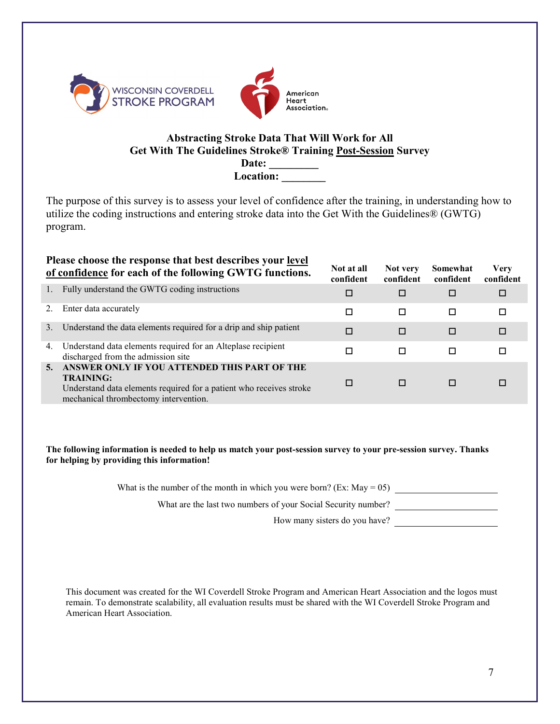



#### **Abstracting Stroke Data That Will Work for All Get With The Guidelines Stroke® Training Post-Session Survey**

**Date: \_\_\_\_\_\_\_\_\_**  Location:

The purpose of this survey is to assess your level of confidence after the training, in understanding how to utilize the coding instructions and entering stroke data into the Get With the Guidelines® (GWTG) program.

|    | Please choose the response that best describes your level<br>of confidence for each of the following GWTG functions.                                                             | Not at all<br>confident | Not very<br>confident | Somewhat<br>confident | Very<br>confident |
|----|----------------------------------------------------------------------------------------------------------------------------------------------------------------------------------|-------------------------|-----------------------|-----------------------|-------------------|
| 1. | Fully understand the GWTG coding instructions                                                                                                                                    | □                       | □                     | □                     | □                 |
| 2. | Enter data accurately                                                                                                                                                            |                         | $\Box$                | □                     | □                 |
| 3. | Understand the data elements required for a drip and ship patient                                                                                                                |                         | $\Box$                | □                     | П                 |
| 4. | Understand data elements required for an Alteplase recipient<br>discharged from the admission site                                                                               |                         | □                     | □                     |                   |
| 5. | ANSWER ONLY IF YOU ATTENDED THIS PART OF THE<br><b>TRAINING:</b><br>Understand data elements required for a patient who receives stroke<br>mechanical thrombectomy intervention. |                         | п                     | П                     |                   |

**The following information is needed to help us match your post-session survey to your pre-session survey. Thanks for helping by providing this information!**

What is the number of the month in which you were born? (Ex: May =  $05$ )

What are the last two numbers of your Social Security number?

How many sisters do you have?

This document was created for the WI Coverdell Stroke Program and American Heart Association and the logos must remain. To demonstrate scalability, all evaluation results must be shared with the WI Coverdell Stroke Program and American Heart Association.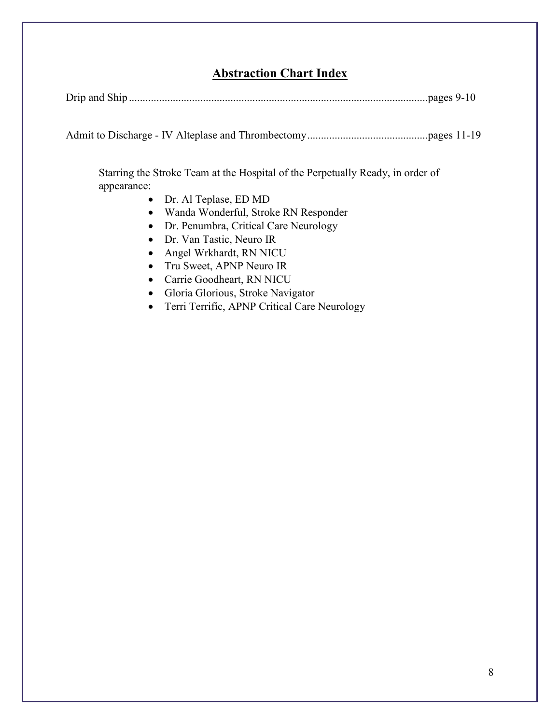#### **Abstraction Chart Index**

| Drip and |  |
|----------|--|
|----------|--|

Admit to Discharge - IV Alteplase and Thrombectomy............................................pages 11-19

Starring the Stroke Team at the Hospital of the Perpetually Ready, in order of appearance:

- Dr. Al Teplase, ED MD
- Wanda Wonderful, Stroke RN Responder
- Dr. Penumbra, Critical Care Neurology
- Dr. Van Tastic, Neuro IR
- Angel Wrkhardt, RN NICU
- Tru Sweet, APNP Neuro IR
- Carrie Goodheart, RN NICU
- Gloria Glorious, Stroke Navigator
- Terri Terrific, APNP Critical Care Neurology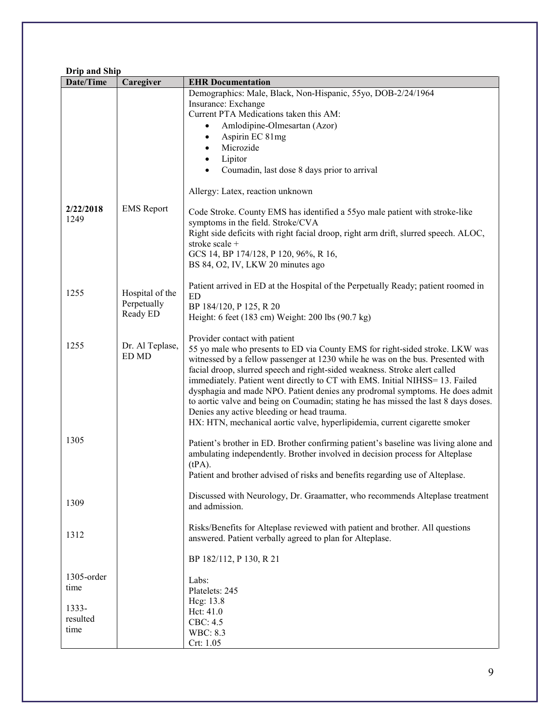| Date/Time<br>Caregiver<br><b>EHR</b> Documentation<br>Demographics: Male, Black, Non-Hispanic, 55yo, DOB-2/24/1964<br>Insurance: Exchange<br>Current PTA Medications taken this AM:<br>Amlodipine-Olmesartan (Azor)<br>Aspirin EC 81mg<br>$\bullet$<br>Microzide<br>$\bullet$<br>Lipitor<br>$\bullet$<br>Coumadin, last dose 8 days prior to arrival<br>$\bullet$<br>Allergy: Latex, reaction unknown<br><b>EMS</b> Report<br>2/22/2018<br>Code Stroke. County EMS has identified a 55yo male patient with stroke-like<br>1249<br>symptoms in the field. Stroke/CVA<br>Right side deficits with right facial droop, right arm drift, slurred speech. ALOC,<br>stroke scale +<br>GCS 14, BP 174/128, P 120, 96%, R 16,<br>BS 84, O2, IV, LKW 20 minutes ago<br>Patient arrived in ED at the Hospital of the Perpetually Ready; patient roomed in<br>1255<br>Hospital of the<br><b>ED</b><br>Perpetually<br>BP 184/120, P 125, R 20<br>Ready ED<br>Height: 6 feet (183 cm) Weight: 200 lbs (90.7 kg)<br>Provider contact with patient<br>1255<br>Dr. Al Teplase,<br>55 yo male who presents to ED via County EMS for right-sided stroke. LKW was<br>ED MD<br>witnessed by a fellow passenger at 1230 while he was on the bus. Presented with<br>facial droop, slurred speech and right-sided weakness. Stroke alert called<br>immediately. Patient went directly to CT with EMS. Initial NIHSS= 13. Failed<br>dysphagia and made NPO. Patient denies any prodromal symptoms. He does admit<br>to aortic valve and being on Coumadin; stating he has missed the last 8 days doses.<br>Denies any active bleeding or head trauma.<br>HX: HTN, mechanical aortic valve, hyperlipidemia, current cigarette smoker<br>1305<br>Patient's brother in ED. Brother confirming patient's baseline was living alone and<br>ambulating independently. Brother involved in decision process for Alteplase<br>$(tPA)$ .<br>Patient and brother advised of risks and benefits regarding use of Alteplase.<br>Discussed with Neurology, Dr. Graamatter, who recommends Alteplase treatment<br>1309<br>and admission.<br>Risks/Benefits for Alteplase reviewed with patient and brother. All questions<br>1312<br>answered. Patient verbally agreed to plan for Alteplase.<br>BP 182/112, P 130, R 21<br>1305-order<br>Labs:<br>time<br>Platelets: 245<br>Hcg: 13.8<br>1333-<br>Hct: 41.0<br>resulted<br>CBC: 4.5<br>time<br><b>WBC: 8.3</b> | <b>Drip and Ship</b> |  |           |  |
|---------------------------------------------------------------------------------------------------------------------------------------------------------------------------------------------------------------------------------------------------------------------------------------------------------------------------------------------------------------------------------------------------------------------------------------------------------------------------------------------------------------------------------------------------------------------------------------------------------------------------------------------------------------------------------------------------------------------------------------------------------------------------------------------------------------------------------------------------------------------------------------------------------------------------------------------------------------------------------------------------------------------------------------------------------------------------------------------------------------------------------------------------------------------------------------------------------------------------------------------------------------------------------------------------------------------------------------------------------------------------------------------------------------------------------------------------------------------------------------------------------------------------------------------------------------------------------------------------------------------------------------------------------------------------------------------------------------------------------------------------------------------------------------------------------------------------------------------------------------------------------------------------------------------------------------------------------------------------------------------------------------------------------------------------------------------------------------------------------------------------------------------------------------------------------------------------------------------------------------------------------------------------------------------------------------------------------------------------------------------------------------------------------------------------|----------------------|--|-----------|--|
|                                                                                                                                                                                                                                                                                                                                                                                                                                                                                                                                                                                                                                                                                                                                                                                                                                                                                                                                                                                                                                                                                                                                                                                                                                                                                                                                                                                                                                                                                                                                                                                                                                                                                                                                                                                                                                                                                                                                                                                                                                                                                                                                                                                                                                                                                                                                                                                                                           |                      |  |           |  |
|                                                                                                                                                                                                                                                                                                                                                                                                                                                                                                                                                                                                                                                                                                                                                                                                                                                                                                                                                                                                                                                                                                                                                                                                                                                                                                                                                                                                                                                                                                                                                                                                                                                                                                                                                                                                                                                                                                                                                                                                                                                                                                                                                                                                                                                                                                                                                                                                                           |                      |  |           |  |
|                                                                                                                                                                                                                                                                                                                                                                                                                                                                                                                                                                                                                                                                                                                                                                                                                                                                                                                                                                                                                                                                                                                                                                                                                                                                                                                                                                                                                                                                                                                                                                                                                                                                                                                                                                                                                                                                                                                                                                                                                                                                                                                                                                                                                                                                                                                                                                                                                           |                      |  |           |  |
|                                                                                                                                                                                                                                                                                                                                                                                                                                                                                                                                                                                                                                                                                                                                                                                                                                                                                                                                                                                                                                                                                                                                                                                                                                                                                                                                                                                                                                                                                                                                                                                                                                                                                                                                                                                                                                                                                                                                                                                                                                                                                                                                                                                                                                                                                                                                                                                                                           |                      |  |           |  |
|                                                                                                                                                                                                                                                                                                                                                                                                                                                                                                                                                                                                                                                                                                                                                                                                                                                                                                                                                                                                                                                                                                                                                                                                                                                                                                                                                                                                                                                                                                                                                                                                                                                                                                                                                                                                                                                                                                                                                                                                                                                                                                                                                                                                                                                                                                                                                                                                                           |                      |  |           |  |
|                                                                                                                                                                                                                                                                                                                                                                                                                                                                                                                                                                                                                                                                                                                                                                                                                                                                                                                                                                                                                                                                                                                                                                                                                                                                                                                                                                                                                                                                                                                                                                                                                                                                                                                                                                                                                                                                                                                                                                                                                                                                                                                                                                                                                                                                                                                                                                                                                           |                      |  |           |  |
|                                                                                                                                                                                                                                                                                                                                                                                                                                                                                                                                                                                                                                                                                                                                                                                                                                                                                                                                                                                                                                                                                                                                                                                                                                                                                                                                                                                                                                                                                                                                                                                                                                                                                                                                                                                                                                                                                                                                                                                                                                                                                                                                                                                                                                                                                                                                                                                                                           |                      |  |           |  |
|                                                                                                                                                                                                                                                                                                                                                                                                                                                                                                                                                                                                                                                                                                                                                                                                                                                                                                                                                                                                                                                                                                                                                                                                                                                                                                                                                                                                                                                                                                                                                                                                                                                                                                                                                                                                                                                                                                                                                                                                                                                                                                                                                                                                                                                                                                                                                                                                                           |                      |  |           |  |
|                                                                                                                                                                                                                                                                                                                                                                                                                                                                                                                                                                                                                                                                                                                                                                                                                                                                                                                                                                                                                                                                                                                                                                                                                                                                                                                                                                                                                                                                                                                                                                                                                                                                                                                                                                                                                                                                                                                                                                                                                                                                                                                                                                                                                                                                                                                                                                                                                           |                      |  |           |  |
|                                                                                                                                                                                                                                                                                                                                                                                                                                                                                                                                                                                                                                                                                                                                                                                                                                                                                                                                                                                                                                                                                                                                                                                                                                                                                                                                                                                                                                                                                                                                                                                                                                                                                                                                                                                                                                                                                                                                                                                                                                                                                                                                                                                                                                                                                                                                                                                                                           |                      |  |           |  |
|                                                                                                                                                                                                                                                                                                                                                                                                                                                                                                                                                                                                                                                                                                                                                                                                                                                                                                                                                                                                                                                                                                                                                                                                                                                                                                                                                                                                                                                                                                                                                                                                                                                                                                                                                                                                                                                                                                                                                                                                                                                                                                                                                                                                                                                                                                                                                                                                                           |                      |  |           |  |
|                                                                                                                                                                                                                                                                                                                                                                                                                                                                                                                                                                                                                                                                                                                                                                                                                                                                                                                                                                                                                                                                                                                                                                                                                                                                                                                                                                                                                                                                                                                                                                                                                                                                                                                                                                                                                                                                                                                                                                                                                                                                                                                                                                                                                                                                                                                                                                                                                           |                      |  |           |  |
|                                                                                                                                                                                                                                                                                                                                                                                                                                                                                                                                                                                                                                                                                                                                                                                                                                                                                                                                                                                                                                                                                                                                                                                                                                                                                                                                                                                                                                                                                                                                                                                                                                                                                                                                                                                                                                                                                                                                                                                                                                                                                                                                                                                                                                                                                                                                                                                                                           |                      |  |           |  |
|                                                                                                                                                                                                                                                                                                                                                                                                                                                                                                                                                                                                                                                                                                                                                                                                                                                                                                                                                                                                                                                                                                                                                                                                                                                                                                                                                                                                                                                                                                                                                                                                                                                                                                                                                                                                                                                                                                                                                                                                                                                                                                                                                                                                                                                                                                                                                                                                                           |                      |  |           |  |
|                                                                                                                                                                                                                                                                                                                                                                                                                                                                                                                                                                                                                                                                                                                                                                                                                                                                                                                                                                                                                                                                                                                                                                                                                                                                                                                                                                                                                                                                                                                                                                                                                                                                                                                                                                                                                                                                                                                                                                                                                                                                                                                                                                                                                                                                                                                                                                                                                           |                      |  |           |  |
|                                                                                                                                                                                                                                                                                                                                                                                                                                                                                                                                                                                                                                                                                                                                                                                                                                                                                                                                                                                                                                                                                                                                                                                                                                                                                                                                                                                                                                                                                                                                                                                                                                                                                                                                                                                                                                                                                                                                                                                                                                                                                                                                                                                                                                                                                                                                                                                                                           |                      |  |           |  |
|                                                                                                                                                                                                                                                                                                                                                                                                                                                                                                                                                                                                                                                                                                                                                                                                                                                                                                                                                                                                                                                                                                                                                                                                                                                                                                                                                                                                                                                                                                                                                                                                                                                                                                                                                                                                                                                                                                                                                                                                                                                                                                                                                                                                                                                                                                                                                                                                                           |                      |  |           |  |
|                                                                                                                                                                                                                                                                                                                                                                                                                                                                                                                                                                                                                                                                                                                                                                                                                                                                                                                                                                                                                                                                                                                                                                                                                                                                                                                                                                                                                                                                                                                                                                                                                                                                                                                                                                                                                                                                                                                                                                                                                                                                                                                                                                                                                                                                                                                                                                                                                           |                      |  |           |  |
|                                                                                                                                                                                                                                                                                                                                                                                                                                                                                                                                                                                                                                                                                                                                                                                                                                                                                                                                                                                                                                                                                                                                                                                                                                                                                                                                                                                                                                                                                                                                                                                                                                                                                                                                                                                                                                                                                                                                                                                                                                                                                                                                                                                                                                                                                                                                                                                                                           |                      |  |           |  |
|                                                                                                                                                                                                                                                                                                                                                                                                                                                                                                                                                                                                                                                                                                                                                                                                                                                                                                                                                                                                                                                                                                                                                                                                                                                                                                                                                                                                                                                                                                                                                                                                                                                                                                                                                                                                                                                                                                                                                                                                                                                                                                                                                                                                                                                                                                                                                                                                                           |                      |  |           |  |
|                                                                                                                                                                                                                                                                                                                                                                                                                                                                                                                                                                                                                                                                                                                                                                                                                                                                                                                                                                                                                                                                                                                                                                                                                                                                                                                                                                                                                                                                                                                                                                                                                                                                                                                                                                                                                                                                                                                                                                                                                                                                                                                                                                                                                                                                                                                                                                                                                           |                      |  |           |  |
|                                                                                                                                                                                                                                                                                                                                                                                                                                                                                                                                                                                                                                                                                                                                                                                                                                                                                                                                                                                                                                                                                                                                                                                                                                                                                                                                                                                                                                                                                                                                                                                                                                                                                                                                                                                                                                                                                                                                                                                                                                                                                                                                                                                                                                                                                                                                                                                                                           |                      |  |           |  |
|                                                                                                                                                                                                                                                                                                                                                                                                                                                                                                                                                                                                                                                                                                                                                                                                                                                                                                                                                                                                                                                                                                                                                                                                                                                                                                                                                                                                                                                                                                                                                                                                                                                                                                                                                                                                                                                                                                                                                                                                                                                                                                                                                                                                                                                                                                                                                                                                                           |                      |  |           |  |
|                                                                                                                                                                                                                                                                                                                                                                                                                                                                                                                                                                                                                                                                                                                                                                                                                                                                                                                                                                                                                                                                                                                                                                                                                                                                                                                                                                                                                                                                                                                                                                                                                                                                                                                                                                                                                                                                                                                                                                                                                                                                                                                                                                                                                                                                                                                                                                                                                           |                      |  |           |  |
|                                                                                                                                                                                                                                                                                                                                                                                                                                                                                                                                                                                                                                                                                                                                                                                                                                                                                                                                                                                                                                                                                                                                                                                                                                                                                                                                                                                                                                                                                                                                                                                                                                                                                                                                                                                                                                                                                                                                                                                                                                                                                                                                                                                                                                                                                                                                                                                                                           |                      |  |           |  |
|                                                                                                                                                                                                                                                                                                                                                                                                                                                                                                                                                                                                                                                                                                                                                                                                                                                                                                                                                                                                                                                                                                                                                                                                                                                                                                                                                                                                                                                                                                                                                                                                                                                                                                                                                                                                                                                                                                                                                                                                                                                                                                                                                                                                                                                                                                                                                                                                                           |                      |  |           |  |
|                                                                                                                                                                                                                                                                                                                                                                                                                                                                                                                                                                                                                                                                                                                                                                                                                                                                                                                                                                                                                                                                                                                                                                                                                                                                                                                                                                                                                                                                                                                                                                                                                                                                                                                                                                                                                                                                                                                                                                                                                                                                                                                                                                                                                                                                                                                                                                                                                           |                      |  |           |  |
|                                                                                                                                                                                                                                                                                                                                                                                                                                                                                                                                                                                                                                                                                                                                                                                                                                                                                                                                                                                                                                                                                                                                                                                                                                                                                                                                                                                                                                                                                                                                                                                                                                                                                                                                                                                                                                                                                                                                                                                                                                                                                                                                                                                                                                                                                                                                                                                                                           |                      |  |           |  |
|                                                                                                                                                                                                                                                                                                                                                                                                                                                                                                                                                                                                                                                                                                                                                                                                                                                                                                                                                                                                                                                                                                                                                                                                                                                                                                                                                                                                                                                                                                                                                                                                                                                                                                                                                                                                                                                                                                                                                                                                                                                                                                                                                                                                                                                                                                                                                                                                                           |                      |  |           |  |
|                                                                                                                                                                                                                                                                                                                                                                                                                                                                                                                                                                                                                                                                                                                                                                                                                                                                                                                                                                                                                                                                                                                                                                                                                                                                                                                                                                                                                                                                                                                                                                                                                                                                                                                                                                                                                                                                                                                                                                                                                                                                                                                                                                                                                                                                                                                                                                                                                           |                      |  |           |  |
|                                                                                                                                                                                                                                                                                                                                                                                                                                                                                                                                                                                                                                                                                                                                                                                                                                                                                                                                                                                                                                                                                                                                                                                                                                                                                                                                                                                                                                                                                                                                                                                                                                                                                                                                                                                                                                                                                                                                                                                                                                                                                                                                                                                                                                                                                                                                                                                                                           |                      |  | Crt: 1.05 |  |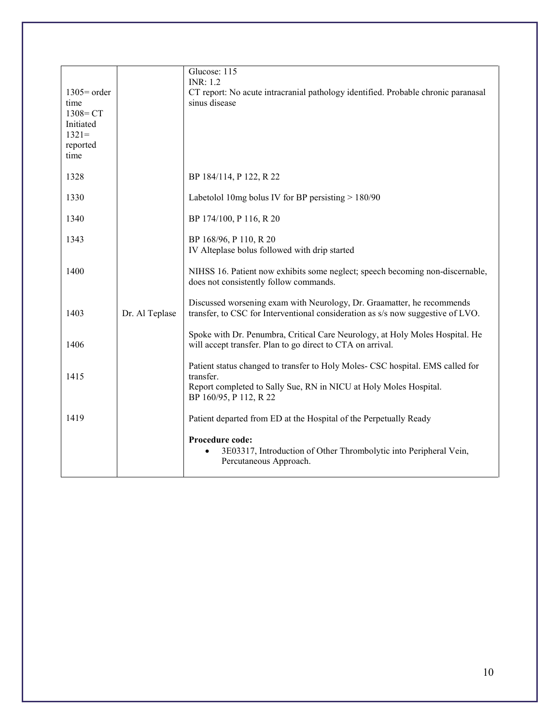|                      |                | Glucose: 115<br><b>INR</b> : 1.2                                                                                                                          |
|----------------------|----------------|-----------------------------------------------------------------------------------------------------------------------------------------------------------|
| $1305$ order<br>time |                | CT report: No acute intracranial pathology identified. Probable chronic paranasal<br>sinus disease                                                        |
| $1308 = CT$          |                |                                                                                                                                                           |
| Initiated<br>$1321=$ |                |                                                                                                                                                           |
| reported<br>time     |                |                                                                                                                                                           |
|                      |                |                                                                                                                                                           |
| 1328                 |                | BP 184/114, P 122, R 22                                                                                                                                   |
| 1330                 |                | Labetolol 10mg bolus IV for BP persisting $> 180/90$                                                                                                      |
| 1340                 |                | BP 174/100, P 116, R 20                                                                                                                                   |
| 1343                 |                | BP 168/96, P 110, R 20                                                                                                                                    |
|                      |                | IV Alteplase bolus followed with drip started                                                                                                             |
| 1400                 |                | NIHSS 16. Patient now exhibits some neglect; speech becoming non-discernable,<br>does not consistently follow commands.                                   |
| 1403                 | Dr. Al Teplase | Discussed worsening exam with Neurology, Dr. Graamatter, he recommends<br>transfer, to CSC for Interventional consideration as s/s now suggestive of LVO. |
| 1406                 |                | Spoke with Dr. Penumbra, Critical Care Neurology, at Holy Moles Hospital. He<br>will accept transfer. Plan to go direct to CTA on arrival.                |
| 1415                 |                | Patient status changed to transfer to Holy Moles- CSC hospital. EMS called for<br>transfer.                                                               |
|                      |                | Report completed to Sally Sue, RN in NICU at Holy Moles Hospital.<br>BP 160/95, P 112, R 22                                                               |
| 1419                 |                | Patient departed from ED at the Hospital of the Perpetually Ready                                                                                         |
|                      |                | Procedure code:<br>3E03317, Introduction of Other Thrombolytic into Peripheral Vein,<br>Percutaneous Approach.                                            |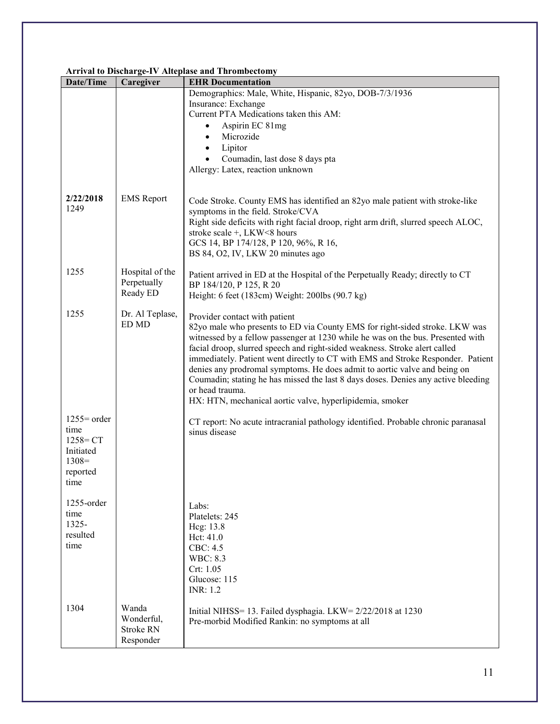#### **Arrival to Discharge-IV Alteplase and Thrombectomy**

| Date/Time                                                                       | Caregiver                                     | <b>EHR Documentation</b>                                                                                                                                                                                                                                                                                                                                                                                                                                                                                                                                                                                          |
|---------------------------------------------------------------------------------|-----------------------------------------------|-------------------------------------------------------------------------------------------------------------------------------------------------------------------------------------------------------------------------------------------------------------------------------------------------------------------------------------------------------------------------------------------------------------------------------------------------------------------------------------------------------------------------------------------------------------------------------------------------------------------|
|                                                                                 |                                               | Demographics: Male, White, Hispanic, 82yo, DOB-7/3/1936<br>Insurance: Exchange<br>Current PTA Medications taken this AM:<br>Aspirin EC 81mg<br>Microzide<br>$\bullet$<br>Lipitor<br>Coumadin, last dose 8 days pta<br>Allergy: Latex, reaction unknown                                                                                                                                                                                                                                                                                                                                                            |
| 2/22/2018<br>1249                                                               | <b>EMS</b> Report                             | Code Stroke. County EMS has identified an 82yo male patient with stroke-like<br>symptoms in the field. Stroke/CVA<br>Right side deficits with right facial droop, right arm drift, slurred speech ALOC,<br>stroke scale +, LKW<8 hours<br>GCS 14, BP 174/128, P 120, 96%, R 16,<br>BS 84, O2, IV, LKW 20 minutes ago                                                                                                                                                                                                                                                                                              |
| 1255                                                                            | Hospital of the<br>Perpetually<br>Ready ED    | Patient arrived in ED at the Hospital of the Perpetually Ready; directly to CT<br>BP 184/120, P 125, R 20<br>Height: 6 feet (183cm) Weight: 200lbs (90.7 kg)                                                                                                                                                                                                                                                                                                                                                                                                                                                      |
| 1255                                                                            | Dr. Al Teplase,<br>ED MD                      | Provider contact with patient<br>82yo male who presents to ED via County EMS for right-sided stroke. LKW was<br>witnessed by a fellow passenger at 1230 while he was on the bus. Presented with<br>facial droop, slurred speech and right-sided weakness. Stroke alert called<br>immediately. Patient went directly to CT with EMS and Stroke Responder. Patient<br>denies any prodromal symptoms. He does admit to aortic valve and being on<br>Coumadin; stating he has missed the last 8 days doses. Denies any active bleeding<br>or head trauma.<br>HX: HTN, mechanical aortic valve, hyperlipidemia, smoker |
| $1255$ order<br>time<br>$1258 = CT$<br>Initiated<br>$1308=$<br>reported<br>time |                                               | CT report: No acute intracranial pathology identified. Probable chronic paranasal<br>sinus disease                                                                                                                                                                                                                                                                                                                                                                                                                                                                                                                |
| $1255$ -order<br>time<br>$1325 -$<br>resulted<br>time                           |                                               | Labs:<br>Platelets: 245<br>Heg: 13.8<br>Hct: 41.0<br>CBC: 4.5<br><b>WBC: 8.3</b><br>Crt: 1.05<br>Glucose: 115<br><b>INR</b> : 1.2                                                                                                                                                                                                                                                                                                                                                                                                                                                                                 |
| 1304                                                                            | Wanda<br>Wonderful,<br>Stroke RN<br>Responder | Initial NIHSS= 13. Failed dysphagia. LKW= 2/22/2018 at 1230<br>Pre-morbid Modified Rankin: no symptoms at all                                                                                                                                                                                                                                                                                                                                                                                                                                                                                                     |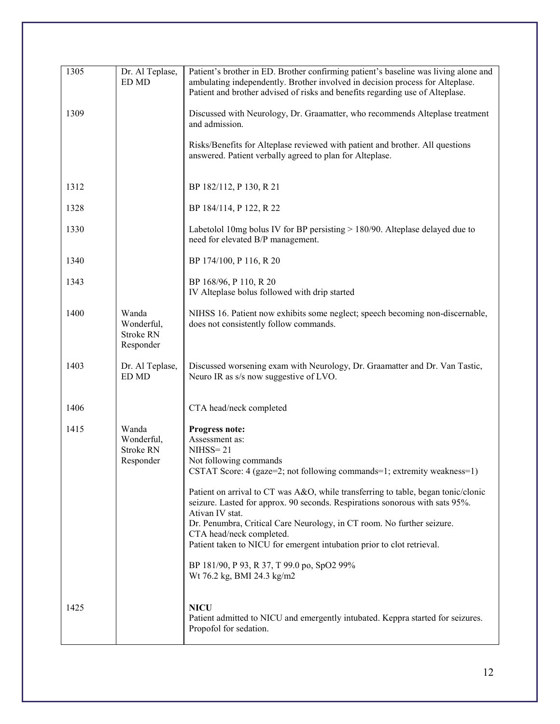| 1305 | Dr. Al Teplase,<br>ED MD                      | Patient's brother in ED. Brother confirming patient's baseline was living alone and<br>ambulating independently. Brother involved in decision process for Alteplase.<br>Patient and brother advised of risks and benefits regarding use of Alteplase.                                      |
|------|-----------------------------------------------|--------------------------------------------------------------------------------------------------------------------------------------------------------------------------------------------------------------------------------------------------------------------------------------------|
| 1309 |                                               | Discussed with Neurology, Dr. Graamatter, who recommends Alteplase treatment<br>and admission.                                                                                                                                                                                             |
|      |                                               | Risks/Benefits for Alteplase reviewed with patient and brother. All questions<br>answered. Patient verbally agreed to plan for Alteplase.                                                                                                                                                  |
| 1312 |                                               | BP 182/112, P 130, R 21                                                                                                                                                                                                                                                                    |
| 1328 |                                               | BP 184/114, P 122, R 22                                                                                                                                                                                                                                                                    |
| 1330 |                                               | Labetolol 10mg bolus IV for BP persisting > 180/90. Alteplase delayed due to<br>need for elevated B/P management.                                                                                                                                                                          |
| 1340 |                                               | BP 174/100, P 116, R 20                                                                                                                                                                                                                                                                    |
| 1343 |                                               | BP 168/96, P 110, R 20<br>IV Alteplase bolus followed with drip started                                                                                                                                                                                                                    |
| 1400 | Wanda<br>Wonderful,<br>Stroke RN<br>Responder | NIHSS 16. Patient now exhibits some neglect; speech becoming non-discernable,<br>does not consistently follow commands.                                                                                                                                                                    |
| 1403 | Dr. Al Teplase,<br>ED MD                      | Discussed worsening exam with Neurology, Dr. Graamatter and Dr. Van Tastic,<br>Neuro IR as s/s now suggestive of LVO.                                                                                                                                                                      |
| 1406 |                                               | CTA head/neck completed                                                                                                                                                                                                                                                                    |
| 1415 | Wanda<br>Wonderful,<br>Stroke RN<br>Responder | Progress note:<br>Assessment as:<br>$NIHSS = 21$<br>Not following commands<br>CSTAT Score: 4 (gaze=2; not following commands=1; extremity weakness=1)                                                                                                                                      |
|      |                                               | Patient on arrival to CT was A&O, while transferring to table, began tonic/clonic<br>seizure. Lasted for approx. 90 seconds. Respirations sonorous with sats 95%.<br>Ativan IV stat.<br>Dr. Penumbra, Critical Care Neurology, in CT room. No further seizure.<br>CTA head/neck completed. |
|      |                                               | Patient taken to NICU for emergent intubation prior to clot retrieval.                                                                                                                                                                                                                     |
|      |                                               | BP 181/90, P 93, R 37, T 99.0 po, SpO2 99%<br>Wt 76.2 kg, BMI 24.3 kg/m2                                                                                                                                                                                                                   |
| 1425 |                                               | <b>NICU</b><br>Patient admitted to NICU and emergently intubated. Keppra started for seizures.<br>Propofol for sedation.                                                                                                                                                                   |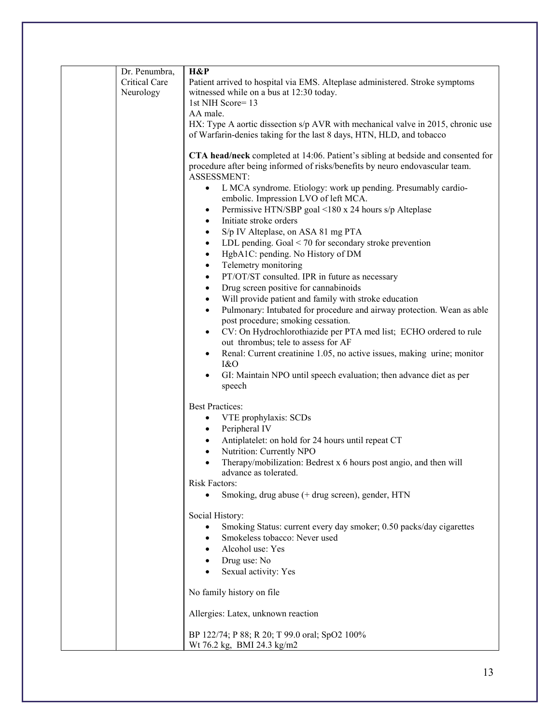| Dr. Penumbra,<br>Critical Care | H&P<br>Patient arrived to hospital via EMS. Alteplase administered. Stroke symptoms<br>witnessed while on a bus at 12:30 today.                                                                                                                                                                                                                                                                                                                                                                                                                                                                                                                                                                                                                                                                                                                                                                                            |
|--------------------------------|----------------------------------------------------------------------------------------------------------------------------------------------------------------------------------------------------------------------------------------------------------------------------------------------------------------------------------------------------------------------------------------------------------------------------------------------------------------------------------------------------------------------------------------------------------------------------------------------------------------------------------------------------------------------------------------------------------------------------------------------------------------------------------------------------------------------------------------------------------------------------------------------------------------------------|
| Neurology                      | 1st NIH Score=13<br>AA male.                                                                                                                                                                                                                                                                                                                                                                                                                                                                                                                                                                                                                                                                                                                                                                                                                                                                                               |
|                                | HX: Type A aortic dissection s/p AVR with mechanical valve in 2015, chronic use<br>of Warfarin-denies taking for the last 8 days, HTN, HLD, and tobacco                                                                                                                                                                                                                                                                                                                                                                                                                                                                                                                                                                                                                                                                                                                                                                    |
|                                | CTA head/neck completed at 14:06. Patient's sibling at bedside and consented for<br>procedure after being informed of risks/benefits by neuro endovascular team.<br>ASSESSMENT:<br>L MCA syndrome. Etiology: work up pending. Presumably cardio-<br>$\bullet$<br>embolic. Impression LVO of left MCA.<br>Permissive HTN/SBP goal <180 x 24 hours s/p Alteplase<br>$\bullet$<br>Initiate stroke orders<br>$\bullet$<br>S/p IV Alteplase, on ASA 81 mg PTA<br>$\bullet$<br>LDL pending. Goal $\leq$ 70 for secondary stroke prevention<br>$\bullet$<br>HgbA1C: pending. No History of DM<br>$\bullet$<br>Telemetry monitoring<br>$\bullet$<br>PT/OT/ST consulted. IPR in future as necessary<br>$\bullet$<br>Drug screen positive for cannabinoids<br>$\bullet$<br>Will provide patient and family with stroke education<br>$\bullet$<br>Pulmonary: Intubated for procedure and airway protection. Wean as able<br>$\bullet$ |
|                                | post procedure; smoking cessation.<br>CV: On Hydrochlorothiazide per PTA med list; ECHO ordered to rule<br>$\bullet$<br>out thrombus; tele to assess for AF<br>Renal: Current creatinine 1.05, no active issues, making urine; monitor<br>$\bullet$<br>1&0<br>GI: Maintain NPO until speech evaluation; then advance diet as per<br>$\bullet$<br>speech                                                                                                                                                                                                                                                                                                                                                                                                                                                                                                                                                                    |
|                                | <b>Best Practices:</b><br>VTE prophylaxis: SCDs<br>$\bullet$<br>Peripheral IV<br>$\bullet$<br>Antiplatelet: on hold for 24 hours until repeat CT<br>$\bullet$<br>Nutrition: Currently NPO<br>$\bullet$<br>Therapy/mobilization: Bedrest x 6 hours post angio, and then will<br>$\bullet$<br>advance as tolerated.<br><b>Risk Factors:</b><br>Smoking, drug abuse (+ drug screen), gender, HTN                                                                                                                                                                                                                                                                                                                                                                                                                                                                                                                              |
|                                | Social History:<br>Smoking Status: current every day smoker; 0.50 packs/day cigarettes<br>٠<br>Smokeless tobacco: Never used<br>$\bullet$<br>Alcohol use: Yes<br>Drug use: No<br>$\bullet$<br>Sexual activity: Yes                                                                                                                                                                                                                                                                                                                                                                                                                                                                                                                                                                                                                                                                                                         |
|                                | No family history on file                                                                                                                                                                                                                                                                                                                                                                                                                                                                                                                                                                                                                                                                                                                                                                                                                                                                                                  |
|                                | Allergies: Latex, unknown reaction                                                                                                                                                                                                                                                                                                                                                                                                                                                                                                                                                                                                                                                                                                                                                                                                                                                                                         |
|                                | BP 122/74; P 88; R 20; T 99.0 oral; SpO2 100%<br>Wt 76.2 kg, BMI 24.3 kg/m2                                                                                                                                                                                                                                                                                                                                                                                                                                                                                                                                                                                                                                                                                                                                                                                                                                                |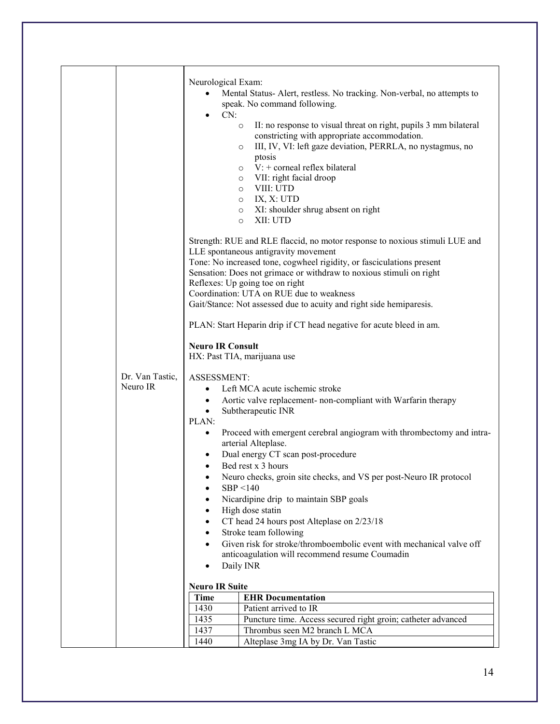|                 | Neurological Exam:                                                                           |
|-----------------|----------------------------------------------------------------------------------------------|
|                 | Mental Status-Alert, restless. No tracking. Non-verbal, no attempts to<br>$\bullet$          |
|                 | speak. No command following.                                                                 |
|                 | CN:<br>$\bullet$                                                                             |
|                 | II: no response to visual threat on right, pupils 3 mm bilateral<br>$\circ$                  |
|                 | constricting with appropriate accommodation.                                                 |
|                 | III, IV, VI: left gaze deviation, PERRLA, no nystagmus, no<br>$\circ$                        |
|                 | ptosis                                                                                       |
|                 | $V: +$ corneal reflex bilateral<br>$\circ$                                                   |
|                 | VII: right facial droop<br>$\circ$                                                           |
|                 | VIII: UTD<br>$\circ$                                                                         |
|                 | IX, X: UTD<br>$\circ$<br>XI: shoulder shrug absent on right                                  |
|                 | $\circ$<br>XII: UTD<br>$\circ$                                                               |
|                 |                                                                                              |
|                 | Strength: RUE and RLE flaccid, no motor response to noxious stimuli LUE and                  |
|                 | LLE spontaneous antigravity movement                                                         |
|                 | Tone: No increased tone, cogwheel rigidity, or fasciculations present                        |
|                 | Sensation: Does not grimace or withdraw to noxious stimuli on right                          |
|                 | Reflexes: Up going toe on right                                                              |
|                 | Coordination: UTA on RUE due to weakness                                                     |
|                 | Gait/Stance: Not assessed due to acuity and right side hemiparesis.                          |
|                 | PLAN: Start Heparin drip if CT head negative for acute bleed in am.                          |
|                 | <b>Neuro IR Consult</b>                                                                      |
|                 | HX: Past TIA, marijuana use                                                                  |
|                 |                                                                                              |
| Dr. Van Tastic, | ASSESSMENT:                                                                                  |
| Neuro IR        | Left MCA acute ischemic stroke                                                               |
|                 | Aortic valve replacement- non-compliant with Warfarin therapy<br>$\bullet$                   |
|                 | Subtherapeutic INR<br>٠                                                                      |
|                 | PLAN:                                                                                        |
|                 | Proceed with emergent cerebral angiogram with thrombectomy and intra-<br>arterial Alteplase. |
|                 | Dual energy CT scan post-procedure                                                           |
|                 | Bed rest x 3 hours                                                                           |
|                 | Neuro checks, groin site checks, and VS per post-Neuro IR protocol                           |
|                 | SBP < 140                                                                                    |
|                 | Nicardipine drip to maintain SBP goals                                                       |
|                 | High dose statin                                                                             |
|                 | CT head 24 hours post Alteplase on 2/23/18                                                   |
|                 | Stroke team following                                                                        |
|                 | Given risk for stroke/thromboembolic event with mechanical valve off                         |
|                 | anticoagulation will recommend resume Coumadin                                               |
|                 | Daily INR<br>$\bullet$                                                                       |
|                 | <b>Neuro IR Suite</b>                                                                        |
|                 | <b>Time</b><br><b>EHR</b> Documentation                                                      |
|                 | 1430<br>Patient arrived to IR                                                                |
|                 | 1435<br>Puncture time. Access secured right groin; catheter advanced                         |
|                 |                                                                                              |
|                 | 1437<br>Thrombus seen M2 branch L MCA                                                        |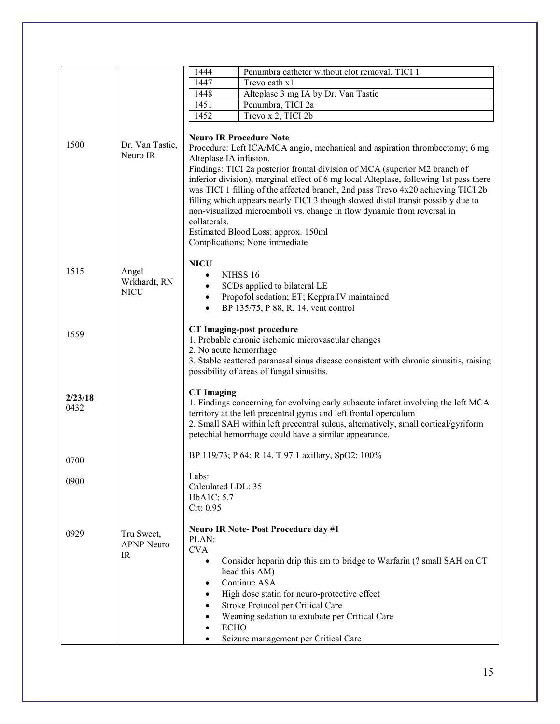|         |                                      | Penumbra catheter without clot removal. TICI 1<br>1444                                                                                                                                                                                                                                                                                                                                         |
|---------|--------------------------------------|------------------------------------------------------------------------------------------------------------------------------------------------------------------------------------------------------------------------------------------------------------------------------------------------------------------------------------------------------------------------------------------------|
|         |                                      | 1447<br>Trevo cath x1                                                                                                                                                                                                                                                                                                                                                                          |
|         |                                      | Alteplase 3 mg IA by Dr. Van Tastic<br>1448                                                                                                                                                                                                                                                                                                                                                    |
|         |                                      | 1451<br>Penumbra, TICI 2a                                                                                                                                                                                                                                                                                                                                                                      |
|         |                                      | 1452<br>Trevo x 2, TICI 2b                                                                                                                                                                                                                                                                                                                                                                     |
| 1500    | Dr. Van Tastic,<br>Neuro IR          | <b>Neuro IR Procedure Note</b><br>Procedure: Left ICA/MCA angio, mechanical and aspiration thrombectomy; 6 mg.<br>Alteplase IA infusion.<br>Findings: TICI 2a posterior frontal division of MCA (superior M2 branch of                                                                                                                                                                         |
|         |                                      | inferior division), marginal effect of 6 mg local Alteplase, following 1st pass there<br>was TICI 1 filling of the affected branch, 2nd pass Trevo 4x20 achieving TICI 2b<br>filling which appears nearly TICI 3 though slowed distal transit possibly due to<br>non-visualized microemboli vs. change in flow dynamic from reversal in<br>collaterals.<br>Estimated Blood Loss: approx. 150ml |
|         |                                      | Complications: None immediate                                                                                                                                                                                                                                                                                                                                                                  |
| 1515    | Angel<br>Wrkhardt, RN<br><b>NICU</b> | <b>NICU</b><br>NIHSS <sub>16</sub><br>$\bullet$<br>SCDs applied to bilateral LE<br>$\bullet$<br>Propofol sedation; ET; Keppra IV maintained<br>$\bullet$<br>BP 135/75, P 88, R, 14, vent control                                                                                                                                                                                               |
|         |                                      |                                                                                                                                                                                                                                                                                                                                                                                                |
| 1559    |                                      | <b>CT Imaging-post procedure</b>                                                                                                                                                                                                                                                                                                                                                               |
|         |                                      | 1. Probable chronic ischemic microvascular changes                                                                                                                                                                                                                                                                                                                                             |
|         |                                      | 2. No acute hemorrhage                                                                                                                                                                                                                                                                                                                                                                         |
|         |                                      | 3. Stable scattered paranasal sinus disease consistent with chronic sinusitis, raising                                                                                                                                                                                                                                                                                                         |
|         |                                      | possibility of areas of fungal sinusitis.                                                                                                                                                                                                                                                                                                                                                      |
|         |                                      | <b>CT</b> Imaging                                                                                                                                                                                                                                                                                                                                                                              |
| 2/23/18 |                                      | 1. Findings concerning for evolving early subacute infarct involving the left MCA                                                                                                                                                                                                                                                                                                              |
| 0432    |                                      | territory at the left precentral gyrus and left frontal operculum                                                                                                                                                                                                                                                                                                                              |
|         |                                      | 2. Small SAH within left precentral sulcus, alternatively, small cortical/gyriform                                                                                                                                                                                                                                                                                                             |
|         |                                      | petechial hemorrhage could have a similar appearance.                                                                                                                                                                                                                                                                                                                                          |
|         |                                      |                                                                                                                                                                                                                                                                                                                                                                                                |
| 0700    |                                      | BP 119/73; P 64; R 14, T 97.1 axillary, SpO2: 100%                                                                                                                                                                                                                                                                                                                                             |
|         |                                      |                                                                                                                                                                                                                                                                                                                                                                                                |
| 0900    |                                      | Labs:                                                                                                                                                                                                                                                                                                                                                                                          |
|         |                                      | Calculated LDL: 35                                                                                                                                                                                                                                                                                                                                                                             |
|         |                                      | HbA1C: 5.7                                                                                                                                                                                                                                                                                                                                                                                     |
|         |                                      | Crt: 0.95                                                                                                                                                                                                                                                                                                                                                                                      |
|         |                                      | <b>Neuro IR Note-Post Procedure day #1</b>                                                                                                                                                                                                                                                                                                                                                     |
| 0929    | Tru Sweet,                           | PLAN:                                                                                                                                                                                                                                                                                                                                                                                          |
|         | <b>APNP</b> Neuro                    | <b>CVA</b>                                                                                                                                                                                                                                                                                                                                                                                     |
|         | IR                                   | Consider heparin drip this am to bridge to Warfarin (? small SAH on CT<br>$\bullet$                                                                                                                                                                                                                                                                                                            |
|         |                                      | head this AM)                                                                                                                                                                                                                                                                                                                                                                                  |
|         |                                      | Continue ASA<br>٠                                                                                                                                                                                                                                                                                                                                                                              |
|         |                                      | High dose statin for neuro-protective effect<br>٠                                                                                                                                                                                                                                                                                                                                              |
|         |                                      | Stroke Protocol per Critical Care                                                                                                                                                                                                                                                                                                                                                              |
|         |                                      | Weaning sedation to extubate per Critical Care                                                                                                                                                                                                                                                                                                                                                 |
|         |                                      | <b>ECHO</b>                                                                                                                                                                                                                                                                                                                                                                                    |
|         |                                      | Seizure management per Critical Care                                                                                                                                                                                                                                                                                                                                                           |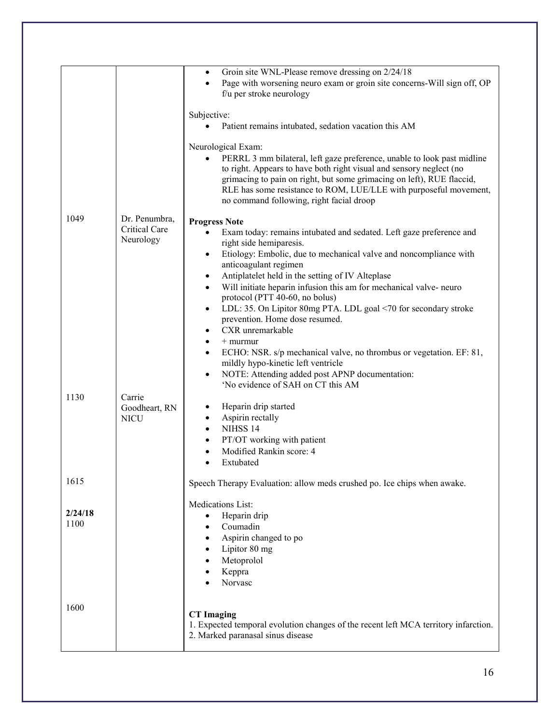|                 |                                             | Groin site WNL-Please remove dressing on 2/24/18<br>$\bullet$                                                                                                                                                                                                                                                                                                               |
|-----------------|---------------------------------------------|-----------------------------------------------------------------------------------------------------------------------------------------------------------------------------------------------------------------------------------------------------------------------------------------------------------------------------------------------------------------------------|
|                 |                                             | Page with worsening neuro exam or groin site concerns-Will sign off, OP<br>$\bullet$<br>f/u per stroke neurology                                                                                                                                                                                                                                                            |
|                 |                                             | Subjective:<br>Patient remains intubated, sedation vacation this AM<br>$\bullet$                                                                                                                                                                                                                                                                                            |
|                 |                                             | Neurological Exam:<br>PERRL 3 mm bilateral, left gaze preference, unable to look past midline<br>$\bullet$<br>to right. Appears to have both right visual and sensory neglect (no<br>grimacing to pain on right, but some grimacing on left), RUE flaccid,<br>RLE has some resistance to ROM, LUE/LLE with purposeful movement,<br>no command following, right facial droop |
| 1049            | Dr. Penumbra,<br>Critical Care<br>Neurology | <b>Progress Note</b><br>Exam today: remains intubated and sedated. Left gaze preference and<br>$\bullet$<br>right side hemiparesis.<br>Etiology: Embolic, due to mechanical valve and noncompliance with<br>$\bullet$<br>anticoagulant regimen                                                                                                                              |
|                 |                                             | Antiplatelet held in the setting of IV Alteplase<br>$\bullet$<br>Will initiate heparin infusion this am for mechanical valve-neuro<br>$\bullet$<br>protocol (PTT 40-60, no bolus)                                                                                                                                                                                           |
|                 |                                             | LDL: 35. On Lipitor 80mg PTA. LDL goal <70 for secondary stroke<br>$\bullet$<br>prevention. Home dose resumed.<br>CXR unremarkable<br>$\bullet$                                                                                                                                                                                                                             |
|                 |                                             | $+$ murmur<br>$\bullet$<br>ECHO: NSR. s/p mechanical valve, no thrombus or vegetation. EF: 81,<br>$\bullet$<br>mildly hypo-kinetic left ventricle<br>NOTE: Attending added post APNP documentation:<br>$\bullet$                                                                                                                                                            |
| 1130            | Carrie<br>Goodheart, RN<br><b>NICU</b>      | 'No evidence of SAH on CT this AM<br>Heparin drip started<br>$\bullet$<br>Aspirin rectally<br>$\bullet$<br>NIHSS <sub>14</sub><br>$\bullet$<br>PT/OT working with patient<br>٠<br>Modified Rankin score: 4<br>$\bullet$<br>Extubated<br>$\bullet$                                                                                                                           |
| 1615            |                                             | Speech Therapy Evaluation: allow meds crushed po. Ice chips when awake.                                                                                                                                                                                                                                                                                                     |
| 2/24/18<br>1100 |                                             | Medications List:<br>Heparin drip<br>$\bullet$<br>Coumadin<br>Aspirin changed to po<br>٠<br>Lipitor 80 mg<br>Metoprolol<br>Keppra<br>Norvasc                                                                                                                                                                                                                                |
| 1600            |                                             | <b>CT</b> Imaging<br>1. Expected temporal evolution changes of the recent left MCA territory infarction.<br>2. Marked paranasal sinus disease                                                                                                                                                                                                                               |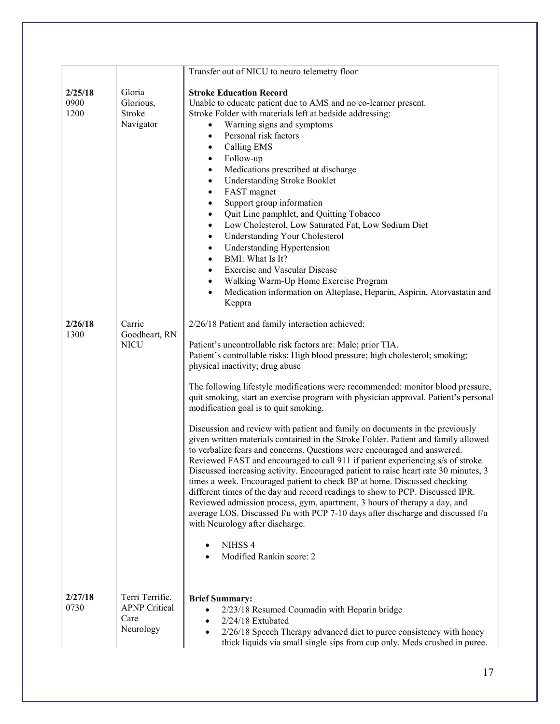|                         |                                                              | Transfer out of NICU to neuro telemetry floor                                                                                                                                                                                                                                                                                                                                                                                                                                                                                                                                                                                                                                                                                                                                                                                                                                                                                                                                                                                                                                                                                                                                                                                                                                                        |
|-------------------------|--------------------------------------------------------------|------------------------------------------------------------------------------------------------------------------------------------------------------------------------------------------------------------------------------------------------------------------------------------------------------------------------------------------------------------------------------------------------------------------------------------------------------------------------------------------------------------------------------------------------------------------------------------------------------------------------------------------------------------------------------------------------------------------------------------------------------------------------------------------------------------------------------------------------------------------------------------------------------------------------------------------------------------------------------------------------------------------------------------------------------------------------------------------------------------------------------------------------------------------------------------------------------------------------------------------------------------------------------------------------------|
| 2/25/18<br>0900<br>1200 | Gloria<br>Glorious,<br>Stroke<br>Navigator                   | <b>Stroke Education Record</b><br>Unable to educate patient due to AMS and no co-learner present.<br>Stroke Folder with materials left at bedside addressing:<br>Warning signs and symptoms<br>Personal risk factors<br>$\bullet$<br><b>Calling EMS</b><br>$\bullet$<br>Follow-up<br>$\bullet$<br>Medications prescribed at discharge<br>$\bullet$<br><b>Understanding Stroke Booklet</b><br>$\bullet$<br>FAST magnet<br>$\bullet$<br>Support group information<br>$\bullet$<br>Quit Line pamphlet, and Quitting Tobacco<br>$\bullet$<br>Low Cholesterol, Low Saturated Fat, Low Sodium Diet<br>$\bullet$<br><b>Understanding Your Cholesterol</b><br>٠<br><b>Understanding Hypertension</b><br>$\bullet$<br>BMI: What Is It?<br>$\bullet$<br><b>Exercise and Vascular Disease</b><br>$\bullet$<br>Walking Warm-Up Home Exercise Program<br>$\bullet$<br>Medication information on Alteplase, Heparin, Aspirin, Atorvastatin and<br>$\bullet$<br>Keppra                                                                                                                                                                                                                                                                                                                                              |
| 2/26/18<br>1300         | Carrie<br>Goodheart, RN<br><b>NICU</b>                       | 2/26/18 Patient and family interaction achieved:<br>Patient's uncontrollable risk factors are: Male; prior TIA.<br>Patient's controllable risks: High blood pressure; high cholesterol; smoking;<br>physical inactivity; drug abuse<br>The following lifestyle modifications were recommended: monitor blood pressure,<br>quit smoking, start an exercise program with physician approval. Patient's personal<br>modification goal is to quit smoking.<br>Discussion and review with patient and family on documents in the previously<br>given written materials contained in the Stroke Folder. Patient and family allowed<br>to verbalize fears and concerns. Questions were encouraged and answered.<br>Reviewed FAST and encouraged to call 911 if patient experiencing s/s of stroke.<br>Discussed increasing activity. Encouraged patient to raise heart rate 30 minutes, 3<br>times a week. Encouraged patient to check BP at home. Discussed checking<br>different times of the day and record readings to show to PCP. Discussed IPR.<br>Reviewed admission process, gym, apartment, 3 hours of therapy a day, and<br>average LOS. Discussed f/u with PCP 7-10 days after discharge and discussed f/u<br>with Neurology after discharge.<br>NIHSS <sub>4</sub><br>Modified Rankin score: 2 |
| 2/27/18<br>0730         | Terri Terrific,<br><b>APNP Critical</b><br>Care<br>Neurology | <b>Brief Summary:</b><br>2/23/18 Resumed Coumadin with Heparin bridge<br>$2/24/18$ Extubated<br>2/26/18 Speech Therapy advanced diet to puree consistency with honey<br>thick liquids via small single sips from cup only. Meds crushed in puree.                                                                                                                                                                                                                                                                                                                                                                                                                                                                                                                                                                                                                                                                                                                                                                                                                                                                                                                                                                                                                                                    |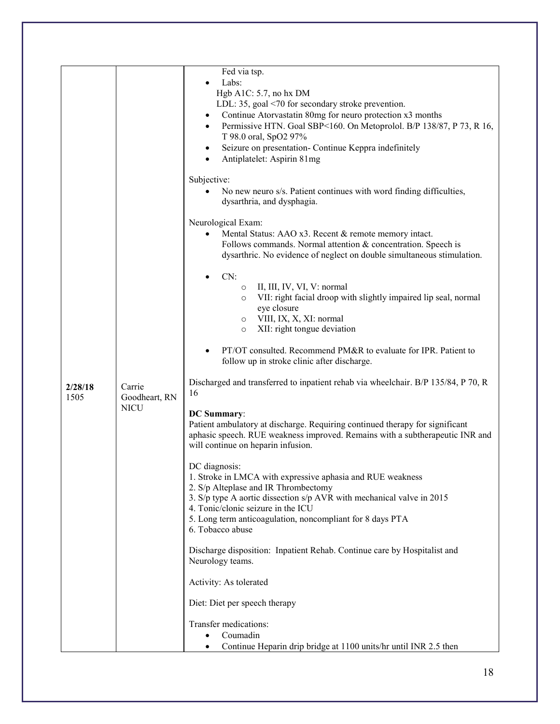|                                            | Fed via tsp.<br>Labs:<br>Hgb A1C: 5.7, no hx DM                                                                                                                                                                                                                                                                                                |
|--------------------------------------------|------------------------------------------------------------------------------------------------------------------------------------------------------------------------------------------------------------------------------------------------------------------------------------------------------------------------------------------------|
|                                            | LDL: 35, goal <70 for secondary stroke prevention.<br>Continue Atorvastatin 80mg for neuro protection x3 months<br>$\bullet$<br>Permissive HTN. Goal SBP<160. On Metoprolol. B/P 138/87, P 73, R 16,<br>$\bullet$<br>T 98.0 oral, SpO2 97%<br>Seizure on presentation- Continue Keppra indefinitely<br>$\bullet$<br>Antiplatelet: Aspirin 81mg |
|                                            | Subjective:<br>No new neuro s/s. Patient continues with word finding difficulties,<br>dysarthria, and dysphagia.                                                                                                                                                                                                                               |
|                                            | Neurological Exam:<br>Mental Status: AAO x3. Recent & remote memory intact.<br>$\bullet$<br>Follows commands. Normal attention & concentration. Speech is<br>dysarthric. No evidence of neglect on double simultaneous stimulation.                                                                                                            |
|                                            | CN:<br>II, III, IV, VI, V: normal<br>$\circ$<br>VII: right facial droop with slightly impaired lip seal, normal<br>$\circ$<br>eye closure<br>VIII, IX, X, XI: normal<br>$\circ$<br>XII: right tongue deviation<br>$\circ$                                                                                                                      |
|                                            | PT/OT consulted. Recommend PM&R to evaluate for IPR. Patient to<br>$\bullet$<br>follow up in stroke clinic after discharge.                                                                                                                                                                                                                    |
| 2/28/18<br>Carrie<br>1505<br>Goodheart, RN | Discharged and transferred to inpatient rehab via wheelchair. B/P 135/84, P 70, R<br>16                                                                                                                                                                                                                                                        |
| <b>NICU</b>                                | <b>DC</b> Summary:<br>Patient ambulatory at discharge. Requiring continued therapy for significant<br>aphasic speech. RUE weakness improved. Remains with a subtherapeutic INR and<br>will continue on heparin infusion.                                                                                                                       |
|                                            | DC diagnosis:<br>1. Stroke in LMCA with expressive aphasia and RUE weakness<br>2. S/p Alteplase and IR Thrombectomy<br>3. S/p type A aortic dissection s/p AVR with mechanical valve in 2015<br>4. Tonic/clonic seizure in the ICU<br>5. Long term anticoagulation, noncompliant for 8 days PTA<br>6. Tobacco abuse                            |
|                                            | Discharge disposition: Inpatient Rehab. Continue care by Hospitalist and<br>Neurology teams.                                                                                                                                                                                                                                                   |
|                                            | Activity: As tolerated                                                                                                                                                                                                                                                                                                                         |
|                                            | Diet: Diet per speech therapy                                                                                                                                                                                                                                                                                                                  |
|                                            | Transfer medications:<br>Coumadin<br>Continue Heparin drip bridge at 1100 units/hr until INR 2.5 then                                                                                                                                                                                                                                          |